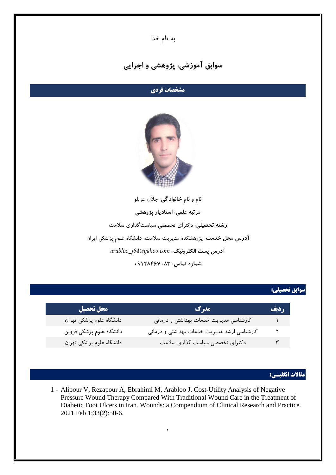به نام خدا

# **سوابق آموزشی، پژوهشی و اجرایی**

## **مشخصات فردی**



**نام و نام خانوادگی:** جالل عربلو **مرتبه علمی: استادیار پژوهشی رشته تحصیلی:** دکترای تخصصی سیاستگذاری سالمت **آدرس محل خدمت:** پژوهشکده مدیریت سالمت، دانشگاه علوم پزشکی ایران *arabloo\_j64@yahoo.com* **:الکترونیک پست آدرس شماره تماس: 18079482190**

#### **سوابق تحصيلي:**

| محل تحصيل                | مدرک                                        | <b>رديف</b> |
|--------------------------|---------------------------------------------|-------------|
| دانشگاه علوم پزشکی تهران | كارشناسى مديريت خدمات بهداشتى و درمانى      |             |
| دانشگاه علوم پزشکی قزوین | کارشناسی ارشد مدیریت خدمات بهداشتی و درمانی | ۲           |
| دانشگاه علوم پزشکی تهران | دکترای تخصصی سیاست گذاری سلامت              | ۳           |

#### **مقاالت انگليسي:**

1 - Alipour V, Rezapour A, Ebrahimi M, Arabloo J. Cost-Utility Analysis of Negative Pressure Wound Therapy Compared With Traditional Wound Care in the Treatment of Diabetic Foot Ulcers in Iran. Wounds: a Compendium of Clinical Research and Practice. 2021 Feb 1;33(2):50-6.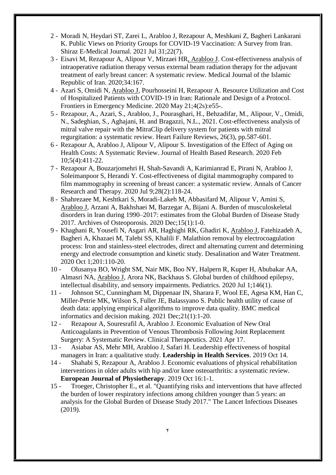- 2 Moradi N, Heydari ST, Zarei L, Arabloo J, Rezapour A, Meshkani Z, Bagheri Lankarani K. Public Views on Priority Groups for COVID-19 Vaccination: A Survey from Iran. Shiraz E-Medical Journal. 2021 Jul 31;22(7).
- 3 Eisavi M, Rezapour A, Alipour V, Mirzaei HR, Arabloo J. Cost-effectiveness analysis of intraoperative radiation therapy versus external beam radiation therapy for the adjuvant treatment of early breast cancer: A systematic review. Medical Journal of the Islamic Republic of Iran. 2020;34:167.
- 4 Azari S, Omidi N, Arabloo J, Pourhosseini H, Rezapour A. Resource Utilization and Cost of Hospitalized Patients with COVID-19 in Iran: Rationale and Design of a Protocol. Frontiers in Emergency Medicine. 2020 May 21;4(2s):e55-.
- 5 Rezapour, A., Azari, S., Arabloo, J., Pourasghari, H., Behzadifar, M., Alipour, V., Omidi, N., Sadeghian, S., Aghajani, H. and Bragazzi, N.L., 2021. Cost-effectiveness analysis of mitral valve repair with the MitraClip delivery system for patients with mitral regurgitation: a systematic review. Heart Failure Reviews, 26(3), pp.587-601.
- 6 Rezapour A, Arabloo J, Alipour V, Alipour S. Investigation of the Effect of Aging on Health Costs: A Systematic Review. Journal of Health Based Research. 2020 Feb 10;5(4):411-22.
- 7 Rezapour A, Bouzarjomehri H, Shah-Savandi A, Karimianrad E, Pirani N, Arabloo J, Soleimanpoor S, Herandi Y. Cost-effectiveness of digital mammography compared to film mammography in screening of breast cancer: a systematic review. Annals of Cancer Research and Therapy. 2020 Jul 9;28(2):118-24.
- 8 Shahrezaee M, Keshtkari S, Moradi-Lakeh M, Abbasifard M, Alipour V, Amini S, Arabloo J, Arzani A, Bakhshaei M, Barzegar A, Bijani A. Burden of musculoskeletal disorders in Iran during 1990–2017: estimates from the Global Burden of Disease Study 2017. Archives of Osteoporosis. 2020 Dec;15(1):1-0.
- 9 Khaghani R, Yousefi N, Asgari AR, Haghighi RK, Ghadiri K, Arabloo J, Fatehizadeh A, Bagheri A, Khazaei M, Talebi SS, Khalili F. Malathion removal by electrocoagulation process: Iron and stainless-steel electrodes, direct and alternating current and determining energy and electrode consumption and kinetic study. Desalination and Water Treatment. 2020 Oct 1;201:110-20.
- 10 Olusanya BO, Wright SM, Nair MK, Boo NY, Halpern R, Kuper H, Abubakar AA, Almasri NA, Arabloo J, Arora NK, Backhaus S. Global burden of childhood epilepsy, intellectual disability, and sensory impairments. Pediatrics. 2020 Jul 1;146(1).
- 11 Johnson SC, Cunningham M, Dippenaar IN, Sharara F, Wool EE, Agesa KM, Han C, Miller-Petrie MK, Wilson S, Fuller JE, Balassyano S. Public health utility of cause of death data: applying empirical algorithms to improve data quality. BMC medical informatics and decision making. 2021 Dec;21(1):1-20.
- 12 Rezapour A, Souresrafil A, Arabloo J. Economic Evaluation of New Oral Anticoagulants in Prevention of Venous Thrombosis Following Joint Replacement Surgery: A Systematic Review. Clinical Therapeutics. 2021 Apr 17.
- 13 Asiabar AS, Mehr MH, Arabloo J, Safari H. Leadership effectiveness of hospital managers in Iran: a qualitative study. **Leadership in Health Services**. 2019 Oct 14.
- 14 Shahabi S, Rezapour A, Arabloo J. Economic evaluations of physical rehabilitation interventions in older adults with hip and/or knee osteoarthritis: a systematic review. **European Journal of Physiotherapy**. 2019 Oct 16:1-1.
- 15 Troeger, Christopher E., et al. "Quantifying risks and interventions that have affected the burden of lower respiratory infections among children younger than 5 years: an analysis for the Global Burden of Disease Study 2017." The Lancet Infectious Diseases (2019).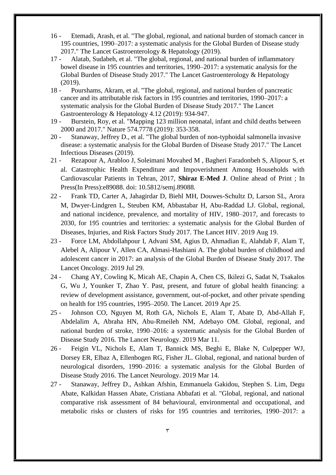- 16 Etemadi, Arash, et al. "The global, regional, and national burden of stomach cancer in 195 countries, 1990–2017: a systematic analysis for the Global Burden of Disease study 2017." The Lancet Gastroenterology & Hepatology (2019).
- 17 Alatab, Sudabeh, et al. "The global, regional, and national burden of inflammatory bowel disease in 195 countries and territories, 1990–2017: a systematic analysis for the Global Burden of Disease Study 2017." The Lancet Gastroenterology & Hepatology (2019).
- 18 Pourshams, Akram, et al. "The global, regional, and national burden of pancreatic cancer and its attributable risk factors in 195 countries and territories, 1990–2017: a systematic analysis for the Global Burden of Disease Study 2017." The Lancet Gastroenterology & Hepatology 4.12 (2019): 934-947.
- 19 Burstein, Roy, et al. "Mapping 123 million neonatal, infant and child deaths between 2000 and 2017." Nature 574.7778 (2019): 353-358.
- 20 Stanaway, Jeffrey D., et al. "The global burden of non-typhoidal salmonella invasive disease: a systematic analysis for the Global Burden of Disease Study 2017." The Lancet Infectious Diseases (2019).
- 21 Rezapour A, Arabloo J, Soleimani Movahed M , Bagheri Faradonbeh S, Alipour S, et al. Catastrophic Health Expenditure and Impoverishment Among Households with Cardiovascular Patients in Tehran, 2017, **Shiraz E-Med J**. Online ahead of Print ; In Press(In Press):e89088. doi: 10.5812/semj.89088.
- 22 Frank TD, Carter A, Jahagirdar D, Biehl MH, Douwes-Schultz D, Larson SL, Arora M, Dwyer-Lindgren L, Steuben KM, Abbastabar H, Abu-Raddad LJ. Global, regional, and national incidence, prevalence, and mortality of HIV, 1980–2017, and forecasts to 2030, for 195 countries and territories: a systematic analysis for the Global Burden of Diseases, Injuries, and Risk Factors Study 2017. The Lancet HIV. 2019 Aug 19.
- 23 Force LM, Abdollahpour I, Advani SM, Agius D, Ahmadian E, Alahdab F, Alam T, Alebel A, Alipour V, Allen CA, Almasi-Hashiani A. The global burden of childhood and adolescent cancer in 2017: an analysis of the Global Burden of Disease Study 2017. The Lancet Oncology. 2019 Jul 29.
- 24 Chang AY, Cowling K, Micah AE, Chapin A, Chen CS, Ikilezi G, Sadat N, Tsakalos G, Wu J, Younker T, Zhao Y. Past, present, and future of global health financing: a review of development assistance, government, out-of-pocket, and other private spending on health for 195 countries, 1995–2050. The Lancet. 2019 Apr 25.
- 25 Johnson CO, Nguyen M, Roth GA, Nichols E, Alam T, Abate D, Abd-Allah F, Abdelalim A, Abraha HN, Abu-Rmeileh NM, Adebayo OM. Global, regional, and national burden of stroke, 1990–2016: a systematic analysis for the Global Burden of Disease Study 2016. The Lancet Neurology. 2019 Mar 11.
- 26 Feigin VL, Nichols E, Alam T, Bannick MS, Beghi E, Blake N, Culpepper WJ, Dorsey ER, Elbaz A, Ellenbogen RG, Fisher JL. Global, regional, and national burden of neurological disorders, 1990–2016: a systematic analysis for the Global Burden of Disease Study 2016. The Lancet Neurology. 2019 Mar 14.
- 27 Stanaway, Jeffrey D., Ashkan Afshin, Emmanuela Gakidou, Stephen S. Lim, Degu Abate, Kalkidan Hassen Abate, Cristiana Abbafati et al. "Global, regional, and national comparative risk assessment of 84 behavioural, environmental and occupational, and metabolic risks or clusters of risks for 195 countries and territories, 1990–2017: a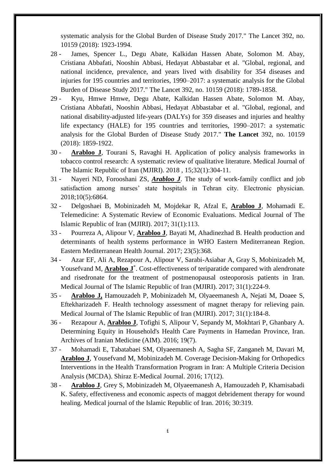systematic analysis for the Global Burden of Disease Study 2017." The Lancet 392, no. 10159 (2018): 1923-1994.

- 28 James, Spencer L., Degu Abate, Kalkidan Hassen Abate, Solomon M. Abay, Cristiana Abbafati, Nooshin Abbasi, Hedayat Abbastabar et al. "Global, regional, and national incidence, prevalence, and years lived with disability for 354 diseases and injuries for 195 countries and territories, 1990–2017: a systematic analysis for the Global Burden of Disease Study 2017." The Lancet 392, no. 10159 (2018): 1789-1858.
- 29 Kyu, Hmwe Hmwe, Degu Abate, Kalkidan Hassen Abate, Solomon M. Abay, Cristiana Abbafati, Nooshin Abbasi, Hedayat Abbastabar et al. "Global, regional, and national disability-adjusted life-years (DALYs) for 359 diseases and injuries and healthy life expectancy (HALE) for 195 countries and territories, 1990–2017: a systematic analysis for the Global Burden of Disease Study 2017." **The Lancet** 392, no. 10159 (2018): 1859-1922.
- 30 **Arabloo J**, Tourani S, Ravaghi H. Application of policy analysis frameworks in tobacco control research: A systematic review of qualitative literature. Medical Journal of The Islamic Republic of Iran (MJIRI). 2018 , 15;32(1):304-11.
- 31 Nayeri ND, Forooshani ZS, *Arabloo J*. The study of work-family conflict and job satisfaction among nurses' state hospitals in Tehran city. Electronic physician. 2018;10(5):6864.
- 32 Delgoshaei B, Mobinizadeh M, Mojdekar R, Afzal E, **Arabloo J**, Mohamadi E. Telemedicine: A Systematic Review of Economic Evaluations. Medical Journal of The Islamic Republic of Iran (MJIRI). 2017; 31(1):113.
- 33 Pourreza A, Alipour V, **Arabloo J**, Bayati M, Ahadinezhad B. Health production and determinants of health systems performance in WHO Eastern Mediterranean Region. Eastern Mediterranean Health Journal. 2017; 23(5):368.
- 34 Azar EF, Ali A, Rezapour A, Alipour V, Sarabi-Asiabar A, Gray S, Mobinizadeh M, Yousefvand M, **Arabloo J**<sup>\*</sup>. Cost-effectiveness of teriparatide compared with alendronate and risedronate for the treatment of postmenopausal osteoporosis patients in Iran. Medical Journal of The Islamic Republic of Iran (MJIRI). 2017; 31(1):224-9.
- 35 **Arabloo J,** Hamouzadeh P, Mobinizadeh M, Olyaeemanesh A, Nejati M, Doaee S, Eftekharizadeh F. Health technology assessment of magnet therapy for relieving pain. Medical Journal of The Islamic Republic of Iran (MJIRI). 2017; 31(1):184-8.
- 36 Rezapour A, **Arabloo J**, Tofighi S, Alipour V, Sepandy M, Mokhtari P, Ghanbary A. Determining Equity in Household's Health Care Payments in Hamedan Province, Iran. Archives of Iranian Medicine (AIM). 2016; 19(7).
- 37 Mohamadi E, Tabatabaei SM, Olyaeemanesh A, Sagha SF, Zanganeh M, Davari M, **Arabloo J**, Yousefvand M, Mobinizadeh M. Coverage Decision-Making for Orthopedics Interventions in the Health Transformation Program in Iran: A Multiple Criteria Decision Analysis (MCDA). Shiraz E-Medical Journal. 2016; 17(12).
- 38 **Arabloo J**, Grey S, Mobinizadeh M, Olyaeemanesh A, Hamouzadeh P, Khamisabadi K. Safety, effectiveness and economic aspects of maggot debridement therapy for wound healing. Medical journal of the Islamic Republic of Iran. 2016; 30:319.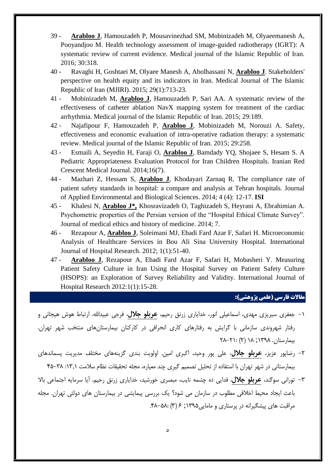- 39 **Arabloo J**, Hamouzadeh P, Mousavinezhad SM, Mobinizadeh M, Olyaeemanesh A, Pooyandjoo M. Health technology assessment of image-guided radiotherapy (IGRT): A systematic review of current evidence. Medical journal of the Islamic Republic of Iran. 2016; 30:318.
- 40 Ravaghi H, Goshtaei M, Olyaee Manesh A, Abolhassani N, **Arabloo J**. Stakeholders' perspective on health equity and its indicators in Iran. Medical Journal of The Islamic Republic of Iran (MJIRI). 2015; 29(1):713-23.
- 41 Mobinizadeh M, **Arabloo J**, Hamouzadeh P, Sari AA. A systematic review of the effectiveness of catheter ablation NavX mapping system for treatment of the cardiac arrhythmia. Medical journal of the Islamic Republic of Iran. 2015; 29:189.
- 42 Najafipour F, Hamouzadeh P, **Arabloo J**, Mobinizadeh M, Norouzi A. Safety, effectiveness and economic evaluation of intra-operative radiation therapy: a systematic review. Medical journal of the Islamic Republic of Iran. 2015; 29:258.
- 43 Esmaili A, Seyedin H, Faraji O, **Arabloo J**, Bamdady YQ, Shojaee S, Hesam S. A Pediatric Appropriateness Evaluation Protocol for Iran Children Hospitals. Iranian Red Crescent Medical Journal. 2014;16(7).
- 44 Mazhari Z, Hessam S, **Arabloo J**, Khodayari Zarnaq R. The compliance rate of patient safety standards in hospital: a compare and analysis at Tehran hospitals. Journal of Applied Environmental and Biological Sciences. 2014; 4 (4): 12-17. **ISI**
- 45 Khalesi N, **Arabloo J\*,** Khosravizadeh O, Taghizadeh S, Heyrani A, Ebrahimian A. Psychometric properties of the Persian version of the "Hospital Ethical Climate Survey". Journal of medical ethics and history of medicine. 2014; 7.
- 46 Rezapour A, **Arabloo J**, Soleimani MJ, Ebadi Fard Azar F, Safari H. Microeconomic Analysis of Healthcare Services in Bou Ali Sina University Hospital. International Journal of Hospital Research. 2012; 1(1):51-40.
- 47 **Arabloo J**, Rezapour A, Ebadi Fard Azar F, Safari H, Mobasheri Y. Measuring Patient Safety Culture in Iran Using the Hospital Survey on Patient Safety Culture (HSOPS): an Exploration of Survey Reliability and Validity. International Journal of Hospital Research 2012:1(1):15-28.

#### **مقاالت فارسي )علمي پژوهشي(:**

- -1 جعفری سیریزی مهدی، اسماعیلی انور، خدایاری زرنق رحیم، **عربلو جالل**، فرجی عبیداهلل. ارتباط هوش هیجانی و رفتار شهروندی سازمانی با گرایش به رفتارهای کاری انحرافی در کارکنان بیمارستانهای منتخب شهر تهران. بیمارستان. 1۹۳۱; 1۱ )۲( ۲۱-۲1:
- -۲ رضاپور عزیز، **عربلو جالل**، علی پور وحید، اکبری امین. اولویت بندی گزینههای مختلف مدیریت پسماندهای بیمارستانی در شهر تهران با استفاده از تحلیل تصمیم گیری چند معیاره، مجله تحقیقات نظام سالمت :1۹31 54-۹۱
- -۹ تورانی سوگند، **عربلو جالل**، فدایی ده چشمه نایب، مبصری خورشید، خدایاری زرنق رحیم. آیا سرمایه اجتماعی باال باعث ایجاد محیط اخالقی مطلوب در سازمان می شود؟ یک بررسی پیمایشی در بیمارستان های دولتی تهران. مجله مراقبت های پیشگیرانه در پرستاری و مامایی ۱۳۹۵; ۶ (۳) .۸۲-۴۸.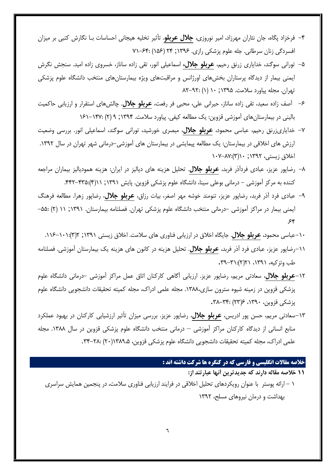- -5 فرخزاد پگاه، جان نثاران مهرزاد، امیر نوروزی، **جالل عربلو**. تأثیر تخلیه هیجانی احساسات بـا نگارش کتبی بر میزان افسردگی زنان سرطانی. جله علوم پزشکی رازی. 1۹۳6; ۲5 )146( ۱1-65:
- -4 تورانی سوگند، خدایاری زرنق رحیم، **عربلو جالل،** اسماعیلی انور، تقی زاده ساناز، خسروی زاده امید. سنجش نگرش ایمنی بیمار از دیدگاه پرستاران بخشهای اورژانس و مراقبتهای ویژه بیمارستانهای منتخب دانشگاه علوم پزشکی تهران. مجله پیاورد سالمت. 1۹۳4; 1۱ )1( ۱۲-۳۲:
- -6 آصف زاده سعید، تقی زاده ساناز، حیرانی علی، محبی فر رفعت، **عربلو جالل**. چالشهای استقرار و ارزیابی حاکمیت بالینی در بیمارستانهای آموزشی قزوین: یک مطالعه کیفی. پیاورد سالمت. 1۹۳5; ۳ )۲( 161-15۱:
- -۱ خدایاریزرنق رحیم، عباسی محمود، **عربلو جالل**، مبصری خورشید، تورانی سوگند، اسماعیلی انور. بررسی وضعیت ارزش های اخالقی در بیمارستان: یک مطالعه پیمایشی در بیمارستان های آموزشی-درمانی شهر تهران در سال .1۹۳۲ اخالق زیستی، 1۹۳۲; 1۱)۹(1۱۱-۱۱:
- -۱ رضاپور عزیز، عبادی فردآذر فربد، **عربلو جالل**. تحلیل هزینه های دیالیز در ایران: هزینه همودیالیز بیماران مراجعه کننده به مرکز آموزشی – درمانی بوعلی سینا، دانشگاه علوم پزشکی قزوین. پایش ۱۳۹۱; ۱۱(۴):۴۳۵-۴۴۲.
- -۳ عبادی فرد آذر فربد، رضاپور عزیز، تنومند خوشه مهر اصغر، بیات رزاق، **عربلو جالل**، رضاپور زهرا. مطالعه فرهنگ ایمنی بیمار در مراکز آموزشی -درمانی منتخب دانشگاه علوم پزشکی تهران. فصلنامه بیمارستان. 1۹۳1; 11 )۲( -44:  $56$ 
	- -1۱عباسی محمود، **عربلو جالل**. جایگاه اخالق در ارزیابی فناوری های سالمت. اخالق زیستی 1۹۳1; ۲)۹(.116-1۱1:
- -11رضاپور عزیز، عبادی فرد آذر فربد، **عربلو جالل**. تحلیل هزینه در کانون های هزینه یک بیمارستان آموزشی. فصلنامه طب وتزکیه، ۱۳۹۱، ۲۱(۲):۳۱-۳۹.
- -1۲**عربلو جالل**، سعادتی مریم، رضاپور عزیز. ارزیابی آگاهی کارکنان اتاق عمل مراکز آموزشی -درمانی دانشگاه علوم پزشکی قزوین در زمینه شیوه سترون سازی.1۹۱۱، مجله علمی ادراک، مجله کمیته تحقیقات دانشجویی دانشگاه علوم پزشکی قزوین، ۱۳۹۰، ۲۳۶: ۳۸–۳۸.
- -1۹سعادتی مریم، حسن پور ادریس، **عربلو جالل**، رضاپور عزیز. بررسی میزان تأثیر ارزشیابی کارکنان در بهبود عملکرد منابع انسانی از دیدگاه کارکنان مراکز آموزشی – درمانی منتخب دانشگاه علوم پزشکی قزوین در سال .1۹۱۱ مجله علمی ادراک، مجله کمیته تحقیقات دانشجویی دانشگاه علوم پزشکی قزوین، 1۹۱۳،4)۲۱( *.*۹5-۲۱:

### **خالصه مقاالت انگليسي و فارسي که در کنگره ها شرکت داشته اند :**

<mark>11 خلا</mark>صه مقاله دارند که جدیدترین آنها عبارتند از:

1 - ارائه پوستر با عنوان رویکردهای تحلیل اخالقی در فرایند ارزیابی فناوری سالمت، در پنجمین همایش سراسری بهداشت و درمان نیروهای مسلح، 1۹۳۲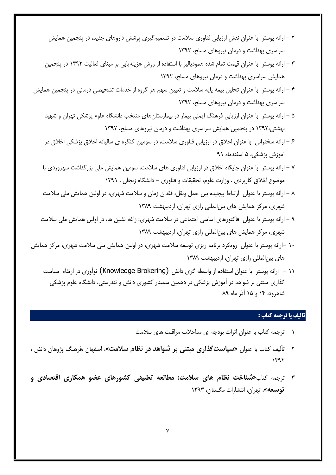- ۲ ارائه پوستر با عنوان نقش ارزیابی فناوری سالمت در تصمیمگیری پوشش داروهای جدید، در پنجمین همایش سراسری بهداشت و درمان نیروهای مسلح، 1۹۳۲
- ۹ ارائه پوستر با عنوان قیمت تمام شده همودیالیز با استفاده از روش هزینهیابی بر مبنای فعالیت 1۹۳۲ در پنجمین همایش سراسری بهداشت و درمان نیروهای مسلح، 1۹۳۲
- 5 ارائه پوستر با عنوان تحلیل بیمه پایه سالمت و تعیین سهم هر گروه از خدمات تشخیصی درمانی در پنجمین همایش سراسری بهداشت و درمان نیروهای مسلح، 1۹۳۲
	- 4 ارائه پوستر با عنوان ارزیابی فرهنگ ایمنی بیمار در بیمارستانهای منتخب دانشگاه علوم پزشکی تهران و شهید بهشتی1۹۳۲، در پنجمین همایش سراسری بهداشت و درمان نیروهای مسلح، 1۹۳۲
	- 6 ارائه سخنرانی با عنوان اخالق در ارزیابی فناوری سالمت، در سومین کنگره ی سالیانه اخالق پزشکی اخالق در آموزش پزشکی، 4 اسفندماه ۳1
	- ۱ ارائه پوستر با عنوان جایگاه اخالق در ارزیابی فناوری های سالمت، سومین همایش ملی بزرگداشت سهروردی با موضوع اخالق کاربردی . وزارت علوم، تحقیقات و فناوری - دانشگاه زنجان . 1۹۳1
	- ۱ ارائه پوستر با عنوان ارتباط پیچیده بین حمل ونقل، فقدان زمان و سالمت شهری، در اولین همایش ملی سالمت شهری، مرکز همایش های بینالمللی رازی تهران، اردیبهشت 1۹۱۳
	- ۳ ارائه پوستر با عنوان فاکتورهای اساسی اجتماعی در سالمت شهری: زاغه نشین ها، در اولین همایش ملی سالمت شهری، مرکز همایش های بینالمللی رازی تهران، اردیبهشت 1۹۱۳
- 1۱ -ارائه پوستر با عنوان رویکرد برنامه ریزی توسعه سالمت شهری، در اولین همایش ملی سالمت شهری، مرکز همایش های بینالمللی رازی تهران، اردیبهشت 1۹۱۳
	- 11 ارائه پوستر با عنوان استفاده از واسطه گری دانش (Brokering Knowledge (نوآوری در ارتقاء سیاست گذاری مبتنی بر شواهد در آموزش پزشکی در دهمین سمینار کشوری دانش و تندرستی، دانشگاه علوم پزشکی شاهرود، 15 و 14 آذر ماه ۱۳

#### **تاليف یا ترجمه کتاب :**

- 1 ترجمه کتاب با عنوان اثرات بودجه ای مداخالت مراقبت های سالمت
- ۲ تألیف کتاب با عنوان »**سیلستگذرنی قاتدی بر شوره ان دظلم سالقت**«، اصفهان ،فرهنگ پژوهان دانش ، 1۹۳۲
- ۹ ترجمه کتاب»**شدلخت دظلم هلی سالقت قطلهع رطایای هشونهلی عضو همکلنی رقتصلای و روسع** «، تهران، انتشارات مگستان، 1۹۳۹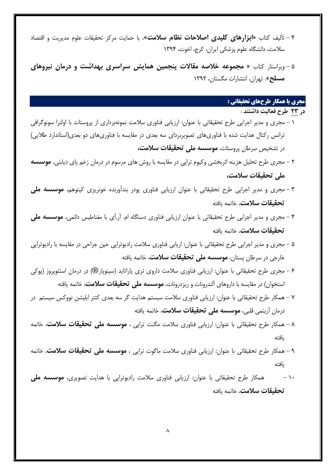- 5 تألیف کتاب »**ربزرنهلی هلی ی رهصالحلت دظلم سالقت**«، با حمایت مرکز تحقیقات علوم مدیریت و اقتصاد سالمت، دانشگاه علوم پزشکی ایران، کرج، اخوت، 1۹۳5
- 4 ویراستار کتاب » **قجموع خالهص قالالت پدجمی هملدش سررسری با رشت و انقلن دیروهلی قسلح**«. تهران، انتشارات مگستان، 1۹۳۲

# **مجری یا همكار طرحهای تحقيقاتي :**

- **ان 32 طرح فعلهیت ارشتد** :
- 1 مجری و مدیر اجرایی طرح تحقیقاتی با عنوان: ارزیابی فناوری سالمت نمونهبرداری از پروستات با اولترا سونوگرافی ترانس رکتال هدایت شده با فناوریهای تصویربردای سه بعدی در مقایسه با فناوریهای دو بعدی)استاندارد طالیی( در تشخیص سرطان پروستات، **موسسه ملی تحقیقات سلامت،**
- ۲ مجری طرح تحلیل هزینه اثربخشی وکیوم تراپی در مقایسه با روش های مرسوم در درمان زخم پای دیابتی، **قوسس قلی رحایالت سالقت،**
- ۹ مجری و مدیر اجرایی طرح تحقیقاتی با عنوان ارزیابی فناوری پودر بندآورنده خونریزی کیتوهم، **قوسس قلی رحایالت سالقت**، خاتمه یافته
- 5 مجری و مدیر اجرایی طرح تحقیقاتی با عنوان ارزیابی فناوری دستگاه ام. آر.آی با مغناطیس دائمی، **قوسس قلی رحایالت سالقت**، خاتمه یافته
- 4 مجری و مدیر اجرایی طرح تحقیقاتی با عنوان: اریابی فناوری سالمت رادیوتراپی حین جراحی در مقایسه با رادیوتراپی خارجی در سرطان پستان**، موسسه مل***ی* **تحقیقات سلامت،** خاتمه یافته
- 6 مجری طرح تحقیقاتی با عنوان: ارزیابی فناوری سالمت داروی تری پاراتاید )سینوپارR( در درمان استئوپروز )پوکی استخوان) در مقایسه با داروهای آلندرونات و ریزدرونات، **موسسه مل***ی* **تحقیقات سلامت**، خاتمه یافته
- ۱ همکار طرح تحقیقاتی با عنوان: ارزیابی فناوری سالمت سیستم هدایت گر سه بعدی کتتر ابلیشن نووکس سیستم در درمان آریتمی قلبی، **موسسه ملی تحقیقات سلامت**، خاتمه یافته
- ۱ همکار طرح تحقیقاتی با عنوان: ارزیابی فناوری سالمت مگنت تراپی ، **قوسس قلی رحایالت سالقت**، خاتمه یافته
- ۳ همکار طرح تحقیقاتی با عنوان: ارزیابی فناوری سالمت ماگوت تراپی ، **قوسس قلی رحایالت سالقت**، خاتمه یافته
- ۱۰ همکار طرح تحقیقاتی با عنوان: ارزیابی فناوری سلامت رادیوتراپی با هدایت تصویری، **موسسه ملی رحایالت سالقت**، خاتمه یافته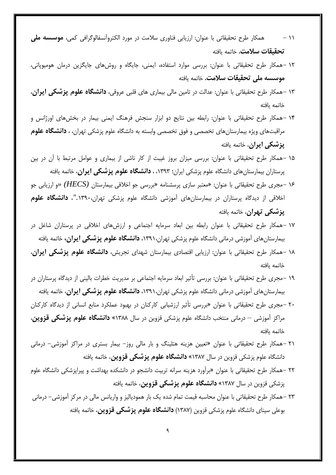- 11 همکار طرح تحقیقاتی با عنوان: ارزیابی فناوری سلامت در مورد الکتروآنسفالوگرافی کمی، **موسسه ملی رحایالت سالقت**، خاتمه یافته
- 1۲ -همکار طرح تحقیقاتی با عنوان: بررسی موارد استفاده، ایمنی، جایگاه و روشهای جایگزین درمان هومیوپاتی، **موسسه ملی تحقیقات سلامت**، خاتمه یافته
- 1۹ -همکار طرح تحقیقاتی با عنوان: عدالت در تامین مالی بیماری های قلبی عروقی، **اردشگله علوم پزشکی ردررن**، خاتمه یافته
- 15 -همکار طرح تحقیقاتی با عنوان: رابطه بین نتایج دو ابزار سنجش فرهنگ ایمنی بیمار در بخشهای اورژانس و مراقبتهای ویژه بیمارستانهای تخصصی و فوق تخصصی وابسته به دانشگاه علوم پزشکی تهران، ، **اردشگله علوم پزشکی ردررن**، خاتمه یافته
- 14 -همکار طرح تحقیقاتی با عنوان: بررسی میزان بروز غیبت از کار ناشی از بیماری و عوامل مرتبط با آن در بین پرستاران بیمارستانهای دانشگاه علوم پزشکی ایران؛ ،1۹۳۹ ، **اردشگله علوم پزشکی ردررن**، خاتمه یافته
- 16 -مجری طرح تحقیقاتی با عنوان: »معتبر سازی پرسشنامه »بررسی جو اخالقی بیمارستان *(HECS» (*و ارزیابی جو اخالقی از دیدگاه پرستاران در بیمارستانهای آموزشی دانشگاه علوم پزشکی تهران*.*1۹۳۱،*"*، **اردشگله علوم پزشکی راررن**، خاتمه یافته
- 1۱ -همکار طرح تحقیقاتی با عنوان رابطه بین ابعاد سرمایه اجتماعی و ارزشهای اخالقی در پرستاران شاغل در بیمارستانهای آموزشی درمانی دانشگاه علوم پزشکی تهران،1۹۳1، **اردشگله علوم پزشکی ردررن،** خاتمه یافته
- 1۱ -همکار طرح تحقیقاتی با عنوان: ارزیابی اقتصادی بیمارستان شهدای تجریش، **اردشگله علوم پزشکی ردررن**، خاتمه یافته
- 1۳ -مجری طرح تحقیقاتی با عنوان: بررسی تأثیر ابعاد سرمایه اجتماعی بر مدیریت خطرات بالینی از دیدگاه پرستاران در بیمارستانهای آموزشی درمانی دانشگاه علوم پزشکی تهران،1۹۳1، **اردشگله علوم پزشکی ردررن**، خاتمه یافته
- ۲۱ -مجری طرح تحقیقاتی با عنوان »بررسی تأثیر ارزشیابی کارکنان در بهبود عملکرد منابع انسانی از دیدگاه کارکنان مراکز آموزشی – درمانی منتخب دانشگاه علوم پزشکی قزوین در سال 1۹۱۱« **اردشگله علوم پزشکی قزود** ، خاتمه یافته
- ۲1 -همکار طرح تحقیقاتی با عنوان »تعیین هزینه هتلینگ و بار مالی روز- بیمار بستری در مراکز آموزشی- درمانی دانشگاه علوم پزشکی قزوین در سال 1۹۱۱« **اردشگله علوم پزشکی قزود** ، خاتمه یافته
- ۲۲ -همکار طرح تحقیقاتی با عنوان »برآورد هزینه سرانه تربیت دانشجو در دانشکده بهداشت و پیراپزشکی دانشگاه علوم پزشکی قزوین در سال 1۹۱۱« **اردشگله علوم پزشکی قزود** ، خاتمه یافته
- ۲۹ -همکار طرح تحقیقاتی با عنوان محاسبه قیمت تمام شده یک بار همودیالیز و واریانس مالی در مرکز آموزشی- درمانی بوعلی سینای دانشگاه علوم پزشکی قزوین )1۹۱۱( **اردشگله علوم پزشکی قزود** ، خاتمه یافته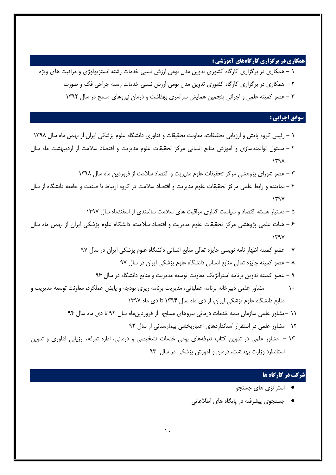### **همكاری در برگزاری کارگاههای آموزشي :**

- 1 همکاری در برگزاری کارگاه کشوری تدوین مدل بومی ارزش نسبی خدمات رشته انستزیولوژی و مراقبت های ویژه
	- ۲ همکاری در برگزاری کارگاه کشوری تدوین مدل بومی ارزش نسبی خدمات رشته جراحی فک و صورت
		- ۹ عضو کمیته علمی و اجرائی پنجمین همایش سراسری بهداشت و درمان نیروهای مسلح در سال 1۹۳۲

#### **سوابق اجرایي :**

 - رئیس گروه پایش و ارزیابی تحقیقات، معاونت تحقیقات و فناوری دانشگاه علوم پزشکی ایران از بهمن ماه سال 1۹۳۱ - مسئول توانمندسازی و آموزش منابع انسانی مرکز تحقیقات علوم مدیریت و اقتصاد سالمت از اردیبهشت ماه سال 1۹۳۱ - عضو شورای پژوهشی مرکز تحقیقات علوم مدیریت و اقتصاد سالمت از فروردین ماه سال 1۹۳۱ - نماینده و رابط علمی مرکز تحقیقات علوم مدیریت و اقتصاد سالمت در گروه ارتباط با صنعت و جامعه دانشگاه از سال 1۹۳۱ - دستیار هسته اقتصاد و سیاست گذاری مراقبت های سالمت سالمندی از اسفندماه سال 1۹۳۱ - هیات علمی پژوهشی مرکز تحقیقات علوم مدیریت و اقتصاد سالمت، دانشگاه علوم پزشکی ایران از بهمن ماه سال 1۹۳۱ - عضو کمیته اظهار نامه نویسی جایزه تعالی منابع انسانی دانشگاه علوم پزشکی ایران در سال ۳۱ - عضو کمیته جایزه تعالی منابع انسانی دانشگاه علوم پزشکی ایران در سال ۳۱ - عضو کمیته تدوین برنامه استراتژیک معاونت توسعه مدیریت و منابع دانشگاه در سال ۳6 - مشاور علمی دبیرخانه برنامه عملیاتی، مدیریت برنامه ریزی بودجه و پایش عملکرد، معاونت توسعه مدیریت و منابع دانشگاه علوم پزشکی ایران، از دی ماه سال 1۹۳5 تا دی ماه 1۹۳۱ -مشاور علمی سازمان بیمه خدمات درمانی نیروهای مسلح، از فروردینماه سال ۳۲ تا دی ماه سال ۳5 -مشاور علمی در استقرار استانداردهای اعتباربخشی بیمارستانی از سال ۳۹ - مشاور علمی در تدوین کتاب تعرفههای بومی خدمات تشخیصی و درمانی، اداره تعرفه، ارزیابی فناوری و تدوین استاندارد وزارت بهداشت، درمان و آموزش پزشکی در سال ۳۹

#### **شرکت در کارگاه ها**

- استراتژی های جستجو
- جستجوی پیشرفته در پایگاه های اطالعاتی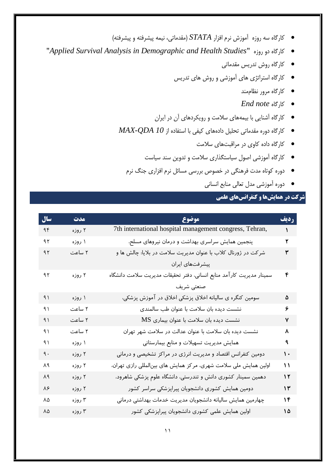- کارگاه سه روزه آموزش نرم افزار *STATA*( مقدماتی، نیمه پیشرفته و پیشرفته(
- "*Applied Survival Analysis in Demographic and Health Studies*" روزه دو کارگاه
	- کارگاه روش تدریس مقدماتی
	- کارگاه استراتژی های آموزشی و روش های تدریس
		- کارگاه مرور نظاممند
		- *End note* کارگاه
	- کارگاه آشنایی با بیمههای سالمت و رویکردهای آن در ایران
	- کارگاه دوره مقدماتی تحلیل دادههای کیفی با استفاده از *10 QDA-MAX*
		- کارگاه داده کاوی در مراقبتهای سالمت
		- کارگاه آموزشی اصول سیاستگذاری سالمت و تدوین سند سیاست
		- دوره کوتاه مدت فرهنگی در خصوص بررسی مسائل نرم افزاری جنگ نرم
			- دوره آموزشی مدل تعالی منابع انسانی

# **شرکت در همایشها و کنفرانسهای علمي**

| سال            | مدت    | موضوع                                                                | رديف             |
|----------------|--------|----------------------------------------------------------------------|------------------|
| ۹۴             | ۲ روزه | 7th international hospital management congress, Tehran,              | $\mathbf{A}$     |
| ۹۲ $\,$        | ۱ روزه | پنجمین همایش سراسری بهداشت و درمان نیروهای مسلح،                     | ۲                |
| 9 <sub>1</sub> | ۲ ساعت | شرکت در ژورنال کلاب با عنوان مدیریت سلامت در بلایا: چالش ها و        | ۳                |
|                |        | پیشرفتهای ایران                                                      |                  |
| 91             | ۲ روزه | سمينار مديريت كارآمد منابع انساني، دفتر تحقيقات مديريت سلامت دانشگاه | ۴                |
|                |        | صنعتی شریف                                                           |                  |
| 9)             | ۱ روزه | سومین کنگره ی سالیانه اخلاق پزشکی اخلاق در آموزش پزشکی،              | ۵                |
| ۹۱             | ۲ ساعت | نشست دیده بان سلامت با عنوان طب سالمندی                              | ۶                |
| 91             | ۲ ساعت | $MS$ نشست دیده بان سلامت با عنوان بیماری                             | ۷                |
| ۹۱             | ۲ ساعت | نشست دیده بان سلامت با عنوان عدالت در سلامت شهر تهران                | ٨                |
| ۹۱             | ۱ روزه | همایش مدیریت تسهیلات و منابع بیمارستانی                              | ٩                |
| ٩.             | ۲ روزه | دومین کنفرانس اقتصاد و مدیریت انرژی در مراکز تشخیصی و درمانی         | $\mathbf{\cdot}$ |
| ٨٩             | ۲ روزه | اولین همایش ملی سلامت شهری، مرکز همایش های بین لمللی رازی تهران،     | $\mathbf{M}$     |
| ٨٩             | ۲ روزه | دهمین سمینار کشوری دانش و تندرستی، دانشگاه علوم پزشکی شاهرود،        | $\gamma$         |
| ٨۶             | ۲ روزه | دومین همایش کشوری دانشجویان پیراپزشکی سراسر کشور                     | $\gamma$         |
| ٨۵             | ۳ روزه | چهارمین همایش سالیانه دانشجویان مدیریت خدمات بهداشتی درمانی          | ۱۴               |
| ٨۵             | ۳ روزه | اولین همایش علمی کشوری دانشجویان پیراپزشکی کشور                      | ۱۵               |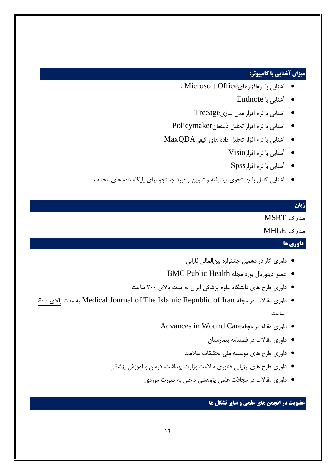## **ميزان آشنایي با کامپيوتر:**

- آشنایی با نرمافزارهایOffice Microsoft ،
	- آشنایی با Endnote
	- آشنایی با نرم افزار مدل سازیTreeage
- آشنایی با نرم افزار تحلیل ذینفعانPolicymaker
- آشنایی با نرم افزار تحلیل داده های کیفیMaxQDA
	- آشنایی با نرم افزارVisio
		- آشنایی با نرم افزارSpss
- آشنایی کامل با جستجوی پیشرفته و تدوین راهبرد جستجو برای پایگاه داده های مختلف

#### **زبان**

# مدرک MSRT

## مدرک MHLE

#### **داوری ها**

- داوری آثار در دهمین جشنواره بینالمللی فارابی
- عضو ادیتوریال بورد مجله Health Public BMC
- داوری طرح های دانشگاه علوم پزشکی ایران به مدت باالی ۹۱۱ ساعت
- 6۱۱ باالی مدت به Medical Journal of The Islamic Republic of Iran مجله در مقاالت داوری ساعت
	- Advances in Wound Careمجله در مقاله داوری
		- داوری مقاالت در فصلنامه بیمارستان
		- داوری طرح های موسسه ملی تحقیقات سالمت
	- داوری طرح های ارزیابی فناوری سالمت وزارت بهداشت، درمان و آموزش پزشکی
		- داوری مقاالت در مجالت علمی پژوهشی داخلی به صورت موردی

## **عضویت در انجمن های علمي و سایر تشكل ها**